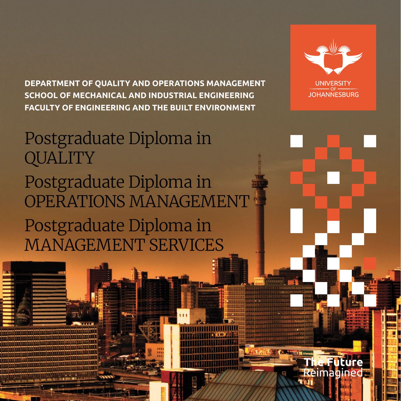**DEPARTMENT OF QUALITY AND OPERATIONS MANAGEMENT SCHOOL OF MECHANICAL AND INDUSTRIAL ENGINEERING FACULTY OF ENGINEERING AND THE BUILT ENVIRONMENT**

# Postgraduate Diploma in **QUALITY** Postgraduate Diploma in OPERATIONS MANAGEMENT Postgraduate Diploma in MANAGEMENT SERVICES



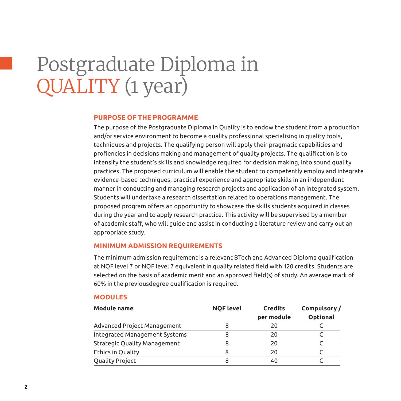# Postgraduate Diploma in QUALITY (1 year)

### **Purpose of the programme**

The purpose of the Postgraduate Diploma in Quality is to endow the student from a production and/or service environment to become a quality professional specialising in quality tools, techniques and projects. The qualifying person will apply their pragmatic capabilities and profiencies in decisions making and management of quality projects. The qualification is to intensify the student's skills and knowledge required for decision making, into sound quality practices. The proposed curriculum will enable the student to competently employ and integrate evidence-based techniques, practical experience and appropriate skills in an independent manner in conducting and managing research projects and application of an integrated system. Students will undertake a research dissertation related to operations management. The proposed program offers an opportunity to showcase the skills students acquired in classes during the year and to apply research practice. This activity will be supervised by a member of academic staff, who will guide and assist in conducting a literature review and carry out an appropriate study.

# **Minimum admission requirements**

The minimum admission requirement is a relevant BTech and Advanced Diploma qualification at NQF level 7 or NQF level 7 equivalent in quality related field with 120 credits. Students are selected on the basis of academic merit and an approved field(s) of study. An average mark of 60% in the previousdegree qualification is required.

#### **Modules**

| Module name                         | <b>NQF level</b> | <b>Credits</b><br>per module | Compulsory/<br>Optional |
|-------------------------------------|------------------|------------------------------|-------------------------|
| Advanced Project Management         | 8                | 20                           |                         |
| Integrated Management Systems       |                  | 20                           |                         |
| <b>Strategic Quality Management</b> | 8                | 20                           |                         |
| Ethics in Quality                   | 8                | 20                           |                         |
| Quality Project                     | 8                | 40                           |                         |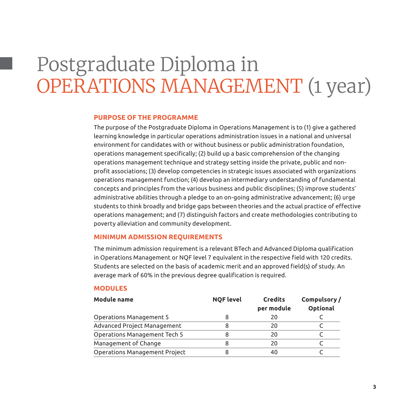# Postgraduate Diploma in OPERATIONS MANAGEMENT (1 year)

### **Purpose of the programme**

The purpose of the Postgraduate Diploma in Operations Management is to (1) give a gathered learning knowledge in particular operations administration issues in a national and universal environment for candidates with or without business or public administration foundation, operations management specifically; (2) build up a basic comprehension of the changing operations management technique and strategy setting inside the private, public and nonprofit associations; (3) develop competencies in strategic issues associated with organizations operations management function; (4) develop an intermediary understanding of fundamental concepts and principles from the various business and public disciplines; (5) improve students' administrative abilities through a pledge to an on-going administrative advancement; (6) urge students to think broadly and bridge gaps between theories and the actual practice of effective operations management; and (7) distinguish factors and create methodologies contributing to poverty alleviation and community development.

#### **Minimum admission requirements**

The minimum admission requirement is a relevant BTech and Advanced Diploma qualification in Operations Management or NQF level 7 equivalent in the respective field with 120 credits. Students are selected on the basis of academic merit and an approved field(s) of study. An average mark of 60% in the previous degree qualification is required.

#### **Modules**

| <b>Module name</b>            | <b>NOF level</b> | <b>Credits</b><br>per module | Compulsory/<br>Optional |
|-------------------------------|------------------|------------------------------|-------------------------|
| Operations Management 5       |                  | 20                           |                         |
| Advanced Project Management   |                  | 20                           |                         |
| Operations Management Tech 5  | 8                | 20                           |                         |
| Management of Change          | 8                | 20                           |                         |
| Operations Management Project |                  | 40                           |                         |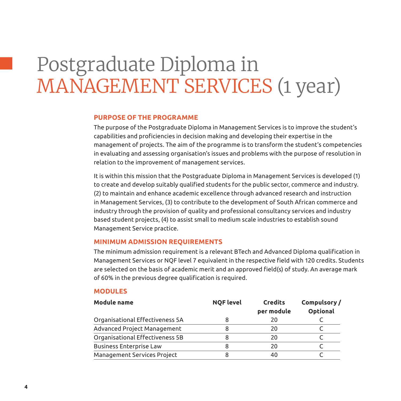# Postgraduate Diploma in MANAGEMENT SERVICES (1 year)

### **Purpose of the programme**

The purpose of the Postgraduate Diploma in Management Services is to improve the student's capabilities and proficiencies in decision making and developing their expertise in the management of projects. The aim of the programme is to transform the student's competencies in evaluating and assessing organisation's issues and problems with the purpose of resolution in relation to the improvement of management services.

It is within this mission that the Postgraduate Diploma in Management Services is developed (1) to create and develop suitably qualified students for the public sector, commerce and industry. (2) to maintain and enhance academic excellence through advanced research and instruction in Management Services, (3) to contribute to the development of South African commerce and industry through the provision of quality and professional consultancy services and industry based student projects, (4) to assist small to medium scale industries to establish sound Management Service practice.

#### **Minimum admission requirements**

The minimum admission requirement is a relevant BTech and Advanced Diploma qualification in Management Services or NQF level 7 equivalent in the respective field with 120 credits. Students are selected on the basis of academic merit and an approved field(s) of study. An average mark of 60% in the previous degree qualification is required.

#### **Modules**

| Module name                     | <b>NQF level</b> | <b>Credits</b><br>per module | Compulsory/<br>Optional |
|---------------------------------|------------------|------------------------------|-------------------------|
| Organisational Effectiveness 5A | 8                | 20                           |                         |
| Advanced Project Management     | 8                | 20                           |                         |
| Organisational Effectiveness 5B |                  | 20                           |                         |
| <b>Business Enterprise Law</b>  | 8                | 20                           |                         |
| Management Services Project     | 8                | 40                           |                         |